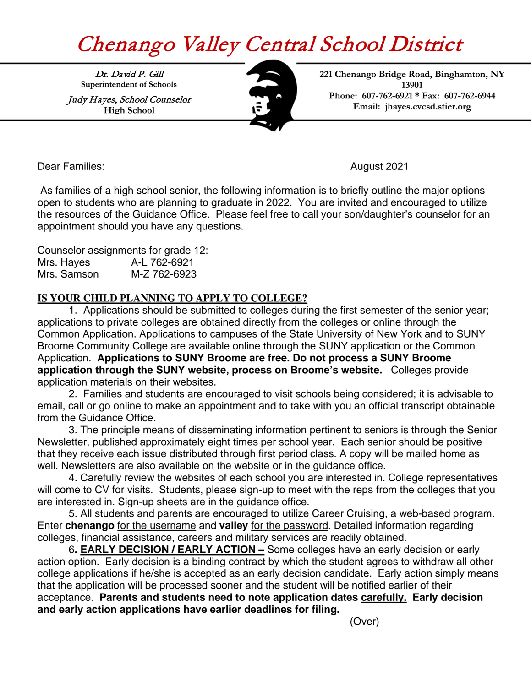## Chenango Valley Central School District

Dr. David P. Gill **Superintendent of Schools**

Judy Hayes, School Counselor **High School**



**221 Chenango Bridge Road, Binghamton, NY 13901 Phone: 607-762-6921 \* Fax: 607-762-6944 Email: [jhayes.cvcsd.stier.org](http://www.cvcsd.stier.org/)**

Dear Families: August 2021

 As families of a high school senior, the following information is to briefly outline the major options open to students who are planning to graduate in 2022. You are invited and encouraged to utilize the resources of the Guidance Office. Please feel free to call your son/daughter's counselor for an appointment should you have any questions.

Counselor assignments for grade 12: Mrs. Hayes A-L 762-6921

## **IS YOUR CHILD PLANNING TO APPLY TO COLLEGE?**

1. Applications should be submitted to colleges during the first semester of the senior year; applications to private colleges are obtained directly from the colleges or online through the Common Application. Applications to campuses of the State University of New York and to SUNY Broome Community College are available online through the SUNY application or the Common Application. **Applications to SUNY Broome are free. Do not process a SUNY Broome application through the SUNY website, process on Broome's website.** Colleges provide application materials on their websites.

2. Families and students are encouraged to visit schools being considered; it is advisable to email, call or go online to make an appointment and to take with you an official transcript obtainable from the Guidance Office.

3. The principle means of disseminating information pertinent to seniors is through the Senior Newsletter, published approximately eight times per school year. Each senior should be positive that they receive each issue distributed through first period class. A copy will be mailed home as well. Newsletters are also available on the website or in the guidance office.

4. Carefully review the websites of each school you are interested in. College representatives will come to CV for visits. Students, please sign-up to meet with the reps from the colleges that you are interested in. Sign-up sheets are in the guidance office.

5. All students and parents are encouraged to utilize Career Cruising, a web-based program. Enter **chenango** for the username and **valley** for the password. Detailed information regarding colleges, financial assistance, careers and military services are readily obtained.

6**. EARLY DECISION / EARLY ACTION –** Some colleges have an early decision or early action option. Early decision is a binding contract by which the student agrees to withdraw all other college applications if he/she is accepted as an early decision candidate. Early action simply means that the application will be processed sooner and the student will be notified earlier of their acceptance. **Parents and students need to note application dates carefully. Early decision and early action applications have earlier deadlines for filing.** 

(Over)